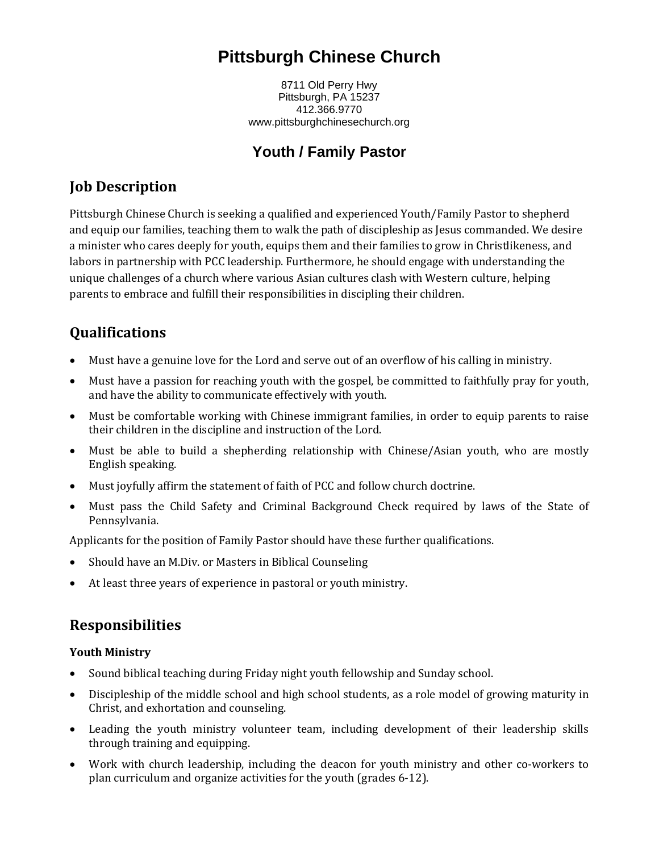# **Pittsburgh Chinese Church**

8711 Old Perry Hwy Pittsburgh, PA 15237 412.366.9770 www.pittsburghchinesechurch.org

# **Youth / Family Pastor**

# **Job Description**

Pittsburgh Chinese Church is seeking a qualified and experienced Youth/Family Pastor to shepherd and equip our families, teaching them to walk the path of discipleship as Jesus commanded. We desire a minister who cares deeply for youth, equips them and their families to grow in Christlikeness, and labors in partnership with PCC leadership. Furthermore, he should engage with understanding the unique challenges of a church where various Asian cultures clash with Western culture, helping parents to embrace and fulfill their responsibilities in discipling their children.

# **Qualifications**

- Must have a genuine love for the Lord and serve out of an overflow of his calling in ministry.
- Must have a passion for reaching youth with the gospel, be committed to faithfully pray for youth, and have the ability to communicate effectively with youth.
- Must be comfortable working with Chinese immigrant families, in order to equip parents to raise their children in the discipline and instruction of the Lord.
- Must be able to build a shepherding relationship with Chinese/Asian youth, who are mostly English speaking.
- Must joyfully affirm the statement of faith of PCC and follow church doctrine.
- Must pass the Child Safety and Criminal Background Check required by laws of the State of Pennsylvania.

Applicants for the position of Family Pastor should have these further qualifications.

- Should have an M.Div. or Masters in Biblical Counseling
- At least three years of experience in pastoral or youth ministry.

## **Responsibilities**

#### **Youth Ministry**

- Sound biblical teaching during Friday night youth fellowship and Sunday school.
- Discipleship of the middle school and high school students, as a role model of growing maturity in Christ, and exhortation and counseling.
- Leading the youth ministry volunteer team, including development of their leadership skills through training and equipping.
- Work with church leadership, including the deacon for youth ministry and other co-workers to plan curriculum and organize activities for the youth (grades 6-12).